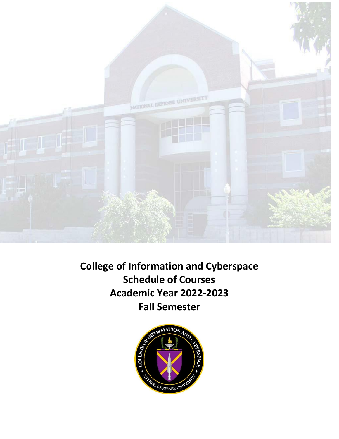

**College of Information and Cyberspace Schedule of Courses Academic Year 2022-2023 Fall Semester**

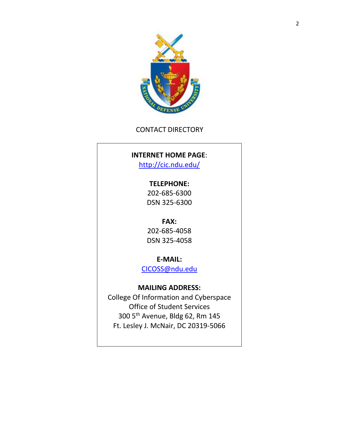

# CONTACT DIRECTORY

# **INTERNET HOME PAGE**:

<http://cic.ndu.edu/>

# **TELEPHONE:**

202-685-6300 DSN 325-6300

# **FAX:**

202-685-4058 DSN 325-4058

**E-MAIL:**

[CICOSS@ndu.edu](mailto:CICOSS@ndu.edu)

# **MAILING ADDRESS:**

College Of Information and Cyberspace Office of Student Services 300 5th Avenue, Bldg 62, Rm 145 Ft. Lesley J. McNair, DC 20319-5066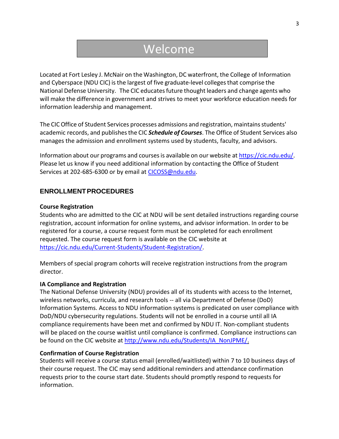# Welcome

Located at Fort Lesley J. McNair on the Washington, DC waterfront, the College of Information and Cyberspace (NDU CIC) is the largest of five graduate-level colleges that comprise the National Defense University. The CIC educates future thought leaders and change agents who will make the difference in government and strives to meet your workforce education needs for information leadership and management.

The CIC Office of Student Services processes admissions and registration, maintains students' academic records, and publishesthe CIC *Schedule of Courses*. The Office of Student Services also manages the admission and enrollment systems used by students, faculty, and advisors.

Information about our programs and coursesis available on our website a[t https://cic.ndu.edu/.](https://cic.ndu.edu/) Please let us know if you need additional information by contacting the Office of Student Services at 202-685-6300 or by email at [CICOSS@ndu.edu.](mailto:CICOSS@ndu.edu)

## **ENROLLMENTPROCEDURES**

#### **Course Registration**

Students who are admitted to the CIC at NDU will be sent detailed instructions regarding course registration, account information for online systems, and advisor information. In order to be registered for a course, a course request form must be completed for each enrollment requested. The course request form is available on the CIC website at [https://cic.ndu.edu/Current-Students/Student-Registration/.](https://cic.ndu.edu/Current-Students/Student-Registration/)

Members of special program cohorts will receive registration instructions from the program director.

#### **IA Compliance and Registration**

The National Defense University (NDU) provides all of its students with access to the Internet, wireless networks, curricula, and research tools -- all via Department of Defense (DoD) Information Systems. Access to NDU information systems is predicated on user compliance with DoD/NDU cybersecurity regulations. Students will not be enrolled in a course until all IA compliance requirements have been met and confirmed by NDU IT. Non-compliant students will be placed on the course waitlist until compliance is confirmed. Compliance instructions can be found on the CIC website at [http://www.ndu.edu/Students/IA\\_NonJPME/.](http://www.ndu.edu/Students/IA_NonJPME/)

#### **Confirmation of Course Registration**

Students will receive a course status email (enrolled/waitlisted) within 7 to 10 business days of their course request. The CIC may send additional reminders and attendance confirmation requests prior to the course start date. Students should promptly respond to requests for information.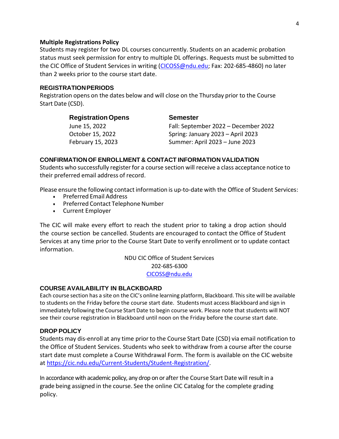#### **Multiple Registrations Policy**

Students may register for two DL courses concurrently. Students on an academic probation status must seek permission for entry to multiple DL offerings. Requests must be submitted to the CIC Office of Student Services in writing [\(CICOSS@ndu.edu](mailto:CICOSS@ndu.edu); Fax: 202-685-4860) no later than 2 weeks prior to the course start date.

#### **REGISTRATIONPERIODS**

Registration opens on the dates below and will close on the Thursday prior to the Course Start Date (CSD).

| <b>Semester</b>                      |
|--------------------------------------|
| Fall: September 2022 - December 2022 |
| Spring: January 2023 - April 2023    |
| Summer: April 2023 - June 2023       |
|                                      |

#### **CONFIRMATIONOF ENROLLMENT & CONTACT INFORMATION VALIDATION**

Students who successfully register for a course section will receive a class acceptance notice to their preferred email address of record.

Please ensure the following contact information is up‐to‐date with the Office of Student Services:

- Preferred Email Address
- Preferred Contact Telephone Number
- Current Employer

The CIC will make every effort to reach the student prior to taking a drop action should the course section be cancelled. Students are encouraged to contact the Office of Student Services at any time prior to the Course Start Date to verify enrollment or to update contact information.

> NDU CIC Office of Student Services 202-685-6300 [CICOSS@ndu.edu](mailto:CICOSS@ndu.edu)

#### **COURSE AVAILABILITY IN BLACKBOARD**

Each course section has a site on the CIC's online learning platform, Blackboard. Thissite will be available to students on the Friday before the course start date. Studentsmust access Blackboard and sign in immediately following the Course Start Date to begin course work. Please note that students will NOT see their course registration in Blackboard until noon on the Friday before the course start date.

#### **DROP POLICY**

Students may dis-enroll at any time prior to the Course Start Date (CSD) via email notification to the Office of Student Services. Students who seek to withdraw from a course after the course start date must complete a Course Withdrawal Form. The form is available on the CIC website at [https://cic.ndu.edu/Current-Students/Student-Registration/.](https://cic.ndu.edu/Current-Students/Student-Registration/)

In accordance with academic policy, any drop on or after the Course Start Date will result in a grade being assigned in the course. See the online CIC Catalog for the complete grading policy.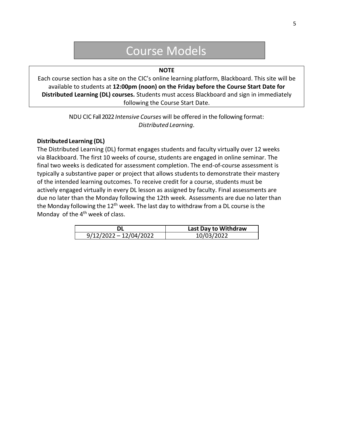# Course Models

#### **NOTE**

Each course section has a site on the CIC's online learning platform, Blackboard. This site will be available to students at **12:00pm (noon) on the Friday before the Course Start Date for Distributed Learning (DL) courses.** Students must access Blackboard and sign in immediately following the Course Start Date.

> NDU CIC Fall 2022*Intensive Courses* will be offered in the following format: *Distributed Learning*.

#### **Distributed Learning (DL)**

The Distributed Learning (DL) format engages students and faculty virtually over 12 weeks via Blackboard. The first 10 weeks of course, students are engaged in online seminar. The final two weeks is dedicated for assessment completion. The end-of-course assessment is typically a substantive paper or project that allows students to demonstrate their mastery of the intended learning outcomes. To receive credit for a course, students must be actively engaged virtually in every DL lesson as assigned by faculty. Final assessments are due no later than the Monday following the 12th week. Assessments are due no later than the Monday following the  $12^{th}$  week. The last day to withdraw from a DL course is the Monday of the  $4<sup>th</sup>$  week of class.

|                          | Last Day to Withdraw |
|--------------------------|----------------------|
| $9/12/2022 - 12/04/2022$ | 10/03/2022           |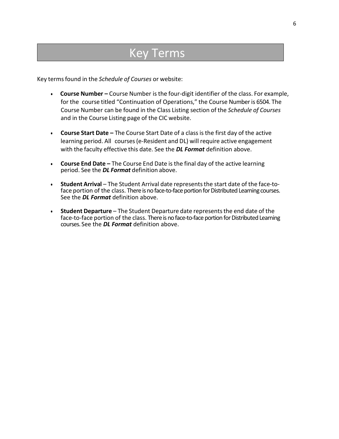# Key Terms

Key termsfound in the *Schedule of Courses* or website:

- **Course Number –** Course Number isthe four-digit identifier of the class. For example, for the course titled "Continuation of Operations," the Course Numberis 6504. The Course Number can be found in the Class Listing section of the *Schedule of Courses*  and in the Course Listing page of the CIC website.
- **Course Start Date –** The Course Start Date of a classis the first day of the active learning period. All courses (e-Resident and DL) will require active engagement with the faculty effective this date. See the *DL Format* definition above.
- **Course End Date –** The Course End Date is the final day of the active learning period. See the *DL Format* definition above.
- **Student Arrival** The Student Arrival date representsthe start date of the face‐to‐ face portion of the class. There is no face-to-face portion for Distributed Learning courses. See the *DL Format* definition above.
- **Student Departure** The Student Departure date representsthe end date of the face-to-face portion of the class. There is no face-to-face portion for Distributed Learning courses. See the *DL Format* definition above.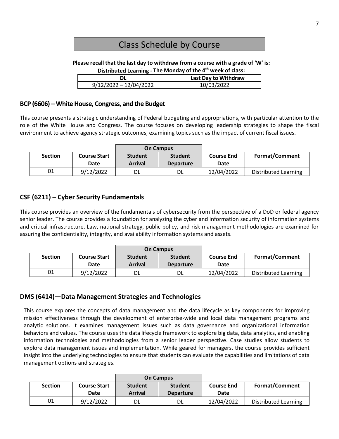# Class Schedule by Course

**Please recall that the last day to withdraw from a course with a grade of 'W' is:**

| Distributed Learning - The Monday of the 4 <sup>th</sup> week of class: |  |
|-------------------------------------------------------------------------|--|
|-------------------------------------------------------------------------|--|

|                          | Last Day to Withdraw |
|--------------------------|----------------------|
| $9/12/2022 - 12/04/2022$ | 10/03/2022           |
|                          |                      |

## **BCP (6606) – White House, Congress, and the Budget**

This course presents a strategic understanding of Federal budgeting and appropriations, with particular attention to the role of the White House and Congress. The course focuses on developing leadership strategies to shape the fiscal environment to achieve agency strategic outcomes, examining topics such as the impact of current fiscal issues.

|                |                             | <b>On Campus</b>                 |                                    |                           |                             |
|----------------|-----------------------------|----------------------------------|------------------------------------|---------------------------|-----------------------------|
| <b>Section</b> | <b>Course Start</b><br>Date | <b>Student</b><br><b>Arrival</b> | <b>Student</b><br><b>Departure</b> | <b>Course End</b><br>Date | <b>Format/Comment</b>       |
| 01             | 9/12/2022                   | DL                               | DL                                 | 12/04/2022                | <b>Distributed Learning</b> |

# **CSF (6211) – Cyber Security Fundamentals**

This course provides an overview of the fundamentals of cybersecurity from the perspective of a DoD or federal agency senior leader. The course provides a foundation for analyzing the cyber and information security of information systems and critical infrastructure. Law, national strategy, public policy, and risk management methodologies are examined for assuring the confidentiality, integrity, and availability information systems and assets.

|                |                             |                                  | <b>On Campus</b>                   |                           |                             |
|----------------|-----------------------------|----------------------------------|------------------------------------|---------------------------|-----------------------------|
| <b>Section</b> | <b>Course Start</b><br>Date | <b>Student</b><br><b>Arrival</b> | <b>Student</b><br><b>Departure</b> | <b>Course End</b><br>Date | <b>Format/Comment</b>       |
| 01             | 9/12/2022                   |                                  | DL                                 | 12/04/2022                | <b>Distributed Learning</b> |

# **DMS (6414)—Data Management Strategies and Technologies**

This course explores the concepts of data management and the data lifecycle as key components for improving mission effectiveness through the development of enterprise-wide and local data management programs and analytic solutions. It examines management issues such as data governance and organizational information behaviors and values. The course uses the data lifecycle framework to explore big data, data analytics, and enabling information technologies and methodologies from a senior leader perspective. Case studies allow students to explore data management issues and implementation. While geared for managers, the course provides sufficient insight into the underlying technologies to ensure that students can evaluate the capabilities and limitations of data management options and strategies.

|                |                             |                                  | <b>On Campus</b>                   |                           |                       |
|----------------|-----------------------------|----------------------------------|------------------------------------|---------------------------|-----------------------|
| <b>Section</b> | <b>Course Start</b><br>Date | <b>Student</b><br><b>Arrival</b> | <b>Student</b><br><b>Departure</b> | <b>Course End</b><br>Date | <b>Format/Comment</b> |
| 01             | 9/12/2022                   | DL                               | DL                                 | 12/04/2022                | Distributed Learning  |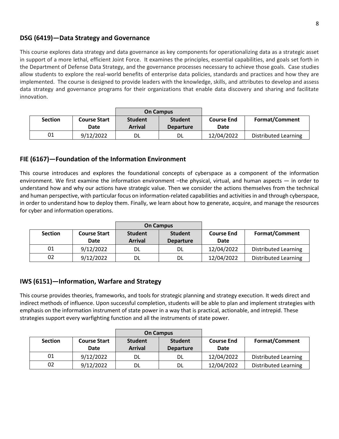# **DSG (6419)—Data Strategy and Governance**

This course explores data strategy and data governance as key components for operationalizing data as a strategic asset in support of a more lethal, efficient Joint Force. It examines the principles, essential capabilities, and goals set forth in the Department of Defense Data Strategy, and the governance processes necessary to achieve those goals. Case studies allow students to explore the real-world benefits of enterprise data policies, standards and practices and how they are implemented. The course is designed to provide leaders with the knowledge, skills, and attributes to develop and assess data strategy and governance programs for their organizations that enable data discovery and sharing and facilitate innovation.

|                |                     |                | <b>On Campus</b> |                   |                             |
|----------------|---------------------|----------------|------------------|-------------------|-----------------------------|
| <b>Section</b> | <b>Course Start</b> | <b>Student</b> | <b>Student</b>   | <b>Course End</b> | <b>Format/Comment</b>       |
|                | Date                | <b>Arrival</b> | <b>Departure</b> | Date              |                             |
| 01             | 9/12/2022           | DL             | DL.              | 12/04/2022        | <b>Distributed Learning</b> |

# **FIE (6167)—Foundation of the Information Environment**

This course introduces and explores the foundational concepts of cyberspace as a component of the information environment. We first examine the information environment –the physical, virtual, and human aspects — in order to understand how and why our actions have strategic value. Then we consider the actions themselves from the technical and human perspective, with particular focus on information-related capabilities and activities in and through cyberspace, in order to understand how to deploy them. Finally, we learn about how to generate, acquire, and manage the resources for cyber and information operations.

|                |                     |                | <b>On Campus</b> |                   |                             |
|----------------|---------------------|----------------|------------------|-------------------|-----------------------------|
| <b>Section</b> | <b>Course Start</b> | <b>Student</b> | <b>Student</b>   | <b>Course End</b> | <b>Format/Comment</b>       |
|                | Date                | <b>Arrival</b> | <b>Departure</b> | Date              |                             |
| 01             | 9/12/2022           | DL             | DL               | 12/04/2022        | <b>Distributed Learning</b> |
| 02             | 9/12/2022           | DL.            | DL               | 12/04/2022        | <b>Distributed Learning</b> |

# **IWS (6151)—Information, Warfare and Strategy**

This course provides theories, frameworks, and tools for strategic planning and strategy execution. It weds direct and indirect methods of influence. Upon successful completion, students will be able to plan and implement strategies with emphasis on the information instrument of state power in a way that is practical, actionable, and intrepid. These strategies support every warfighting function and all the instruments of state power.

|                |                     |                | <b>On Campus</b> |                   |                             |
|----------------|---------------------|----------------|------------------|-------------------|-----------------------------|
| <b>Section</b> | <b>Course Start</b> | <b>Student</b> | <b>Student</b>   | <b>Course End</b> | <b>Format/Comment</b>       |
|                | Date                | <b>Arrival</b> | <b>Departure</b> | Date              |                             |
| 01             | 9/12/2022           | DL             | DL               | 12/04/2022        | <b>Distributed Learning</b> |
| 02             | 9/12/2022           | DL             | DL               | 12/04/2022        | <b>Distributed Learning</b> |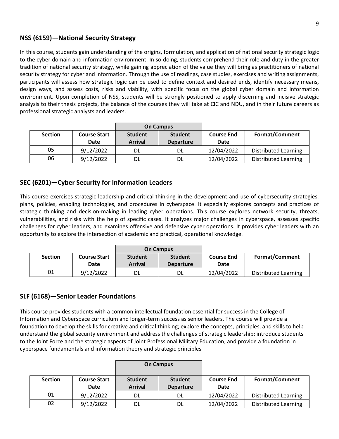# **NSS (6159)—National Security Strategy**

In this course, students gain understanding of the origins, formulation, and application of national security strategic logic to the cyber domain and information environment. In so doing, students comprehend their role and duty in the greater tradition of national security strategy, while gaining appreciation of the value they will bring as practitioners of national security strategy for cyber and information. Through the use of readings, case studies, exercises and writing assignments, participants will assess how strategic logic can be used to define context and desired ends, identify necessary means, design ways, and assess costs, risks and viability, with specific focus on the global cyber domain and information environment. Upon completion of NSS, students will be strongly positioned to apply discerning and incisive strategic analysis to their thesis projects, the balance of the courses they will take at CIC and NDU, and in their future careers as professional strategic analysts and leaders.

|                |                     |                | <b>On Campus</b> |                   |                             |
|----------------|---------------------|----------------|------------------|-------------------|-----------------------------|
| <b>Section</b> | <b>Course Start</b> | <b>Student</b> | <b>Student</b>   | <b>Course End</b> | <b>Format/Comment</b>       |
|                | Date                | <b>Arrival</b> | <b>Departure</b> | Date              |                             |
| 05             | 9/12/2022           | DL             | DL               | 12/04/2022        | <b>Distributed Learning</b> |
| 06             | 9/12/2022           | Dl             | DL               | 12/04/2022        | <b>Distributed Learning</b> |

# **SEC (6201)—Cyber Security for Information Leaders**

This course exercises strategic leadership and critical thinking in the development and use of cybersecurity strategies, plans, policies, enabling technologies, and procedures in cyberspace. It especially explores concepts and practices of strategic thinking and decision-making in leading cyber operations. This course explores network security, threats, vulnerabilities, and risks with the help of specific cases. It analyzes major challenges in cyberspace, assesses specific challenges for cyber leaders, and examines offensive and defensive cyber operations. It provides cyber leaders with an opportunity to explore the intersection of academic and practical, operational knowledge.

|                |                     | <b>On Campus</b> |                  |                   |                             |
|----------------|---------------------|------------------|------------------|-------------------|-----------------------------|
| <b>Section</b> | <b>Course Start</b> | <b>Student</b>   | <b>Student</b>   | <b>Course End</b> | <b>Format/Comment</b>       |
|                | Date                | <b>Arrival</b>   | <b>Departure</b> | Date              |                             |
| 01             | 9/12/2022           | DL               | DL               | 12/04/2022        | <b>Distributed Learning</b> |

# **SLF (6168)—Senior Leader Foundations**

This course provides students with a common intellectual foundation essential for success in the College of Information and Cyberspace curriculum and longer-term success as senior leaders. The course will provide a foundation to develop the skills for creative and critical thinking; explore the concepts, principles, and skills to help understand the global security environment and address the challenges of strategic leadership; introduce students to the Joint Force and the strategic aspects of Joint Professional Military Education; and provide a foundation in cyberspace fundamentals and information theory and strategic principles

|                |                             |                                  | <b>On Campus</b>                   |                                  |                             |
|----------------|-----------------------------|----------------------------------|------------------------------------|----------------------------------|-----------------------------|
| <b>Section</b> | <b>Course Start</b><br>Date | <b>Student</b><br><b>Arrival</b> | <b>Student</b><br><b>Departure</b> | <b>Course End</b><br><b>Date</b> | <b>Format/Comment</b>       |
| 01             | 9/12/2022                   | DL                               | DL                                 | 12/04/2022                       | <b>Distributed Learning</b> |
| 02             | 9/12/2022                   | DL                               | DL                                 | 12/04/2022                       | <b>Distributed Learning</b> |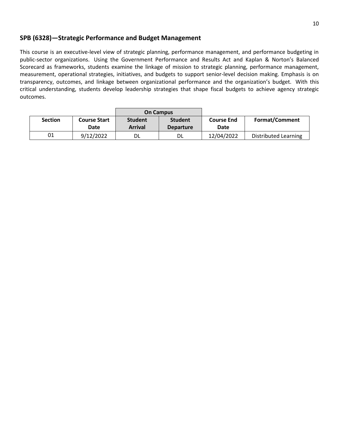## **SPB (6328)—Strategic Performance and Budget Management**

This course is an executive-level view of strategic planning, performance management, and performance budgeting in public-sector organizations. Using the Government Performance and Results Act and Kaplan & Norton's Balanced Scorecard as frameworks, students examine the linkage of mission to strategic planning, performance management, measurement, operational strategies, initiatives, and budgets to support senior-level decision making. Emphasis is on transparency, outcomes, and linkage between organizational performance and the organization's budget. With this critical understanding, students develop leadership strategies that shape fiscal budgets to achieve agency strategic outcomes.

|                |                     |                | <b>On Campus</b> |                   |                             |
|----------------|---------------------|----------------|------------------|-------------------|-----------------------------|
| <b>Section</b> | <b>Course Start</b> | <b>Student</b> | <b>Student</b>   | <b>Course End</b> | <b>Format/Comment</b>       |
|                | Date                | <b>Arrival</b> | <b>Departure</b> | Date              |                             |
| 01             | 9/12/2022           |                | DL               | 12/04/2022        | <b>Distributed Learning</b> |